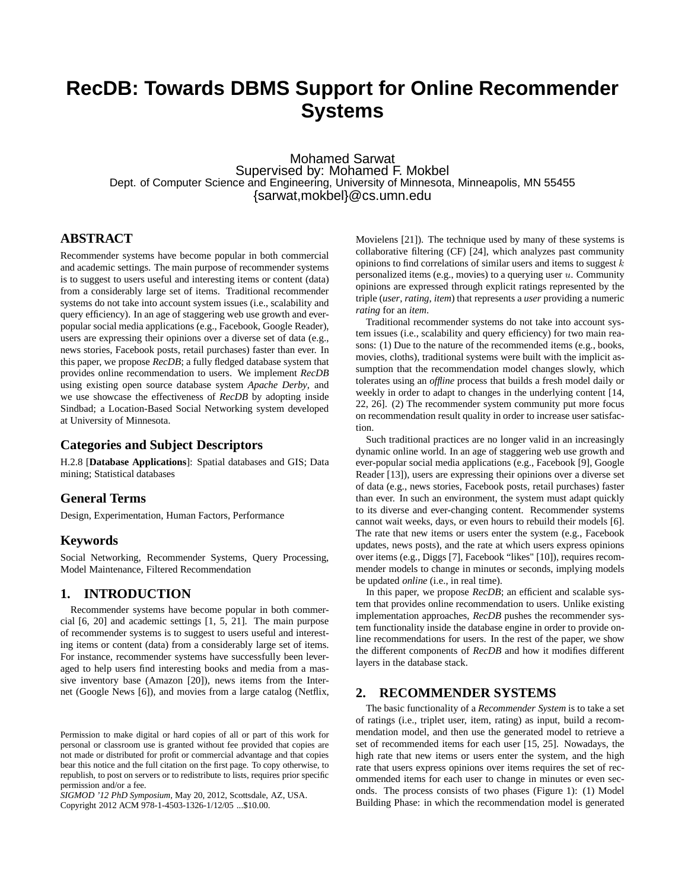# **RecDB: Towards DBMS Support for Online Recommender Systems**

Mohamed Sarwat Supervised by: Mohamed F. Mokbel Dept. of Computer Science and Engineering, University of Minnesota, Minneapolis, MN 55455 {sarwat,mokbel}@cs.umn.edu

## **ABSTRACT**

Recommender systems have become popular in both commercial and academic settings. The main purpose of recommender systems is to suggest to users useful and interesting items or content (data) from a considerably large set of items. Traditional recommender systems do not take into account system issues (i.e., scalability and query efficiency). In an age of staggering web use growth and everpopular social media applications (e.g., Facebook, Google Reader), users are expressing their opinions over a diverse set of data (e.g., news stories, Facebook posts, retail purchases) faster than ever. In this paper, we propose *RecDB*; a fully fledged database system that provides online recommendation to users. We implement *RecDB* using existing open source database system *Apache Derby*, and we use showcase the effectiveness of *RecDB* by adopting inside Sindbad; a Location-Based Social Networking system developed at University of Minnesota.

## **Categories and Subject Descriptors**

H.2.8 [**Database Applications**]: Spatial databases and GIS; Data mining; Statistical databases

## **General Terms**

Design, Experimentation, Human Factors, Performance

## **Keywords**

Social Networking, Recommender Systems, Query Processing, Model Maintenance, Filtered Recommendation

## **1. INTRODUCTION**

Recommender systems have become popular in both commercial [6, 20] and academic settings [1, 5, 21]. The main purpose of recommender systems is to suggest to users useful and interesting items or content (data) from a considerably large set of items. For instance, recommender systems have successfully been leveraged to help users find interesting books and media from a massive inventory base (Amazon [20]), news items from the Internet (Google News [6]), and movies from a large catalog (Netflix,

*SIGMOD '12 PhD Symposium,* May 20, 2012, Scottsdale, AZ, USA. Copyright 2012 ACM 978-1-4503-1326-1/12/05 ...\$10.00.

Movielens [21]). The technique used by many of these systems is collaborative filtering (CF) [24], which analyzes past community opinions to find correlations of similar users and items to suggest  $k$ personalized items (e.g., movies) to a querying user  $u$ . Community opinions are expressed through explicit ratings represented by the triple (*user*, *rating*, *item*) that represents a *user* providing a numeric *rating* for an *item*.

Traditional recommender systems do not take into account system issues (i.e., scalability and query efficiency) for two main reasons: (1) Due to the nature of the recommended items (e.g., books, movies, cloths), traditional systems were built with the implicit assumption that the recommendation model changes slowly, which tolerates using an *offline* process that builds a fresh model daily or weekly in order to adapt to changes in the underlying content [14, 22, 26]. (2) The recommender system community put more focus on recommendation result quality in order to increase user satisfaction.

Such traditional practices are no longer valid in an increasingly dynamic online world. In an age of staggering web use growth and ever-popular social media applications (e.g., Facebook [9], Google Reader [13]), users are expressing their opinions over a diverse set of data (e.g., news stories, Facebook posts, retail purchases) faster than ever. In such an environment, the system must adapt quickly to its diverse and ever-changing content. Recommender systems cannot wait weeks, days, or even hours to rebuild their models [6]. The rate that new items or users enter the system (e.g., Facebook updates, news posts), and the rate at which users express opinions over items (e.g., Diggs [7], Facebook "likes" [10]), requires recommender models to change in minutes or seconds, implying models be updated *online* (i.e., in real time).

In this paper, we propose *RecDB*; an efficient and scalable system that provides online recommendation to users. Unlike existing implementation approaches, *RecDB* pushes the recommender system functionality inside the database engine in order to provide online recommendations for users. In the rest of the paper, we show the different components of *RecDB* and how it modifies different layers in the database stack.

## **2. RECOMMENDER SYSTEMS**

The basic functionality of a *Recommender System* is to take a set of ratings (i.e., triplet user, item, rating) as input, build a recommendation model, and then use the generated model to retrieve a set of recommended items for each user [15, 25]. Nowadays, the high rate that new items or users enter the system, and the high rate that users express opinions over items requires the set of recommended items for each user to change in minutes or even seconds. The process consists of two phases (Figure 1): (1) Model Building Phase: in which the recommendation model is generated

Permission to make digital or hard copies of all or part of this work for personal or classroom use is granted without fee provided that copies are not made or distributed for profit or commercial advantage and that copies bear this notice and the full citation on the first page. To copy otherwise, to republish, to post on servers or to redistribute to lists, requires prior specific permission and/or a fee.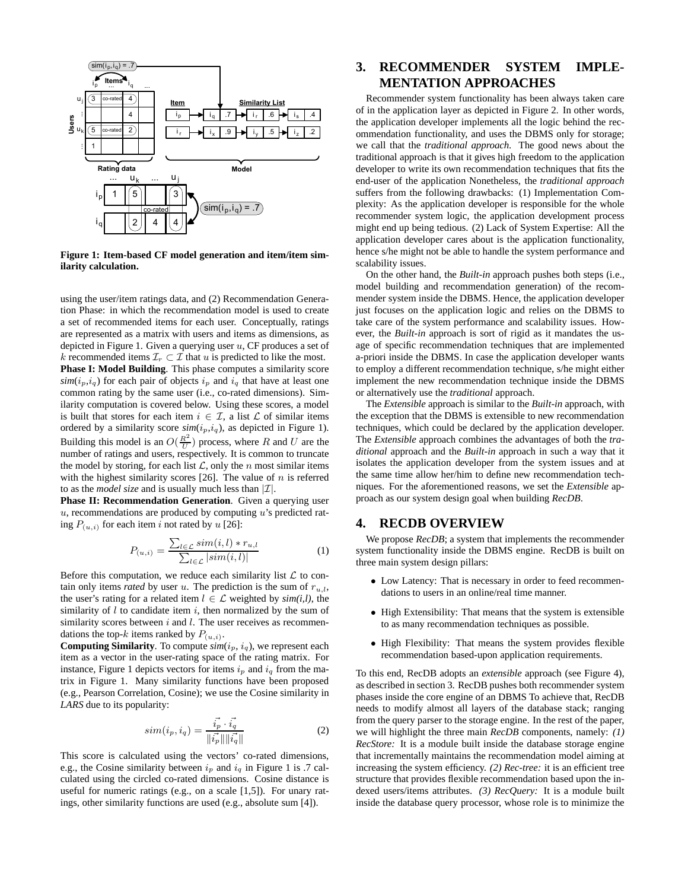

**Figure 1: Item-based CF model generation and item/item similarity calculation.**

using the user/item ratings data, and (2) Recommendation Generation Phase: in which the recommendation model is used to create a set of recommended items for each user. Conceptually, ratings are represented as a matrix with users and items as dimensions, as depicted in Figure 1. Given a querying user  $u$ , CF produces a set of k recommended items  $\mathcal{I}_r \subset \mathcal{I}$  that u is predicted to like the most. **Phase I: Model Building**. This phase computes a similarity score  $sim(i_p,i_q)$  for each pair of objects  $i_p$  and  $i_q$  that have at least one common rating by the same user (i.e., co-rated dimensions). Similarity computation is covered below. Using these scores, a model is built that stores for each item  $i \in \mathcal{I}$ , a list  $\mathcal L$  of similar items ordered by a similarity score  $\text{sim}(i_p, i_q)$ , as depicted in Figure 1). Building this model is an  $O(\frac{R^2}{U})$  process, where R and U are the number of ratings and users, respectively. It is common to truncate the model by storing, for each list  $\mathcal{L}$ , only the n most similar items with the highest similarity scores [26]. The value of  $n$  is referred to as the *model size* and is usually much less than  $|\mathcal{I}|$ .

**Phase II: Recommendation Generation**. Given a querying user  $u$ , recommendations are produced by computing  $u$ 's predicted rating  $P_{(u,i)}$  for each item i not rated by u [26]:

$$
P_{(u,i)} = \frac{\sum_{l \in \mathcal{L}} sim(i,l) * r_{u,l}}{\sum_{l \in \mathcal{L}} |sim(i,l)|}
$$
(1)

Before this computation, we reduce each similarity list  $\mathcal L$  to contain only items *rated* by user u. The prediction is the sum of  $r_{u,l}$ , the user's rating for a related item  $l \in \mathcal{L}$  weighted by  $sim(i, l)$ , the similarity of  $l$  to candidate item  $i$ , then normalized by the sum of similarity scores between  $i$  and  $l$ . The user receives as recommendations the top- $k$  items ranked by  $P_{(u,i)}$ .

**Computing Similarity**. To compute  $\text{sim}(i_p, i_q)$ , we represent each item as a vector in the user-rating space of the rating matrix. For instance, Figure 1 depicts vectors for items  $i_p$  and  $i_q$  from the matrix in Figure 1. Many similarity functions have been proposed (e.g., Pearson Correlation, Cosine); we use the Cosine similarity in *LARS* due to its popularity:

$$
sim(i_p, i_q) = \frac{\vec{i_p} \cdot \vec{i_q}}{||\vec{i_p}|| ||\vec{i_q}||}
$$
 (2)

This score is calculated using the vectors' co-rated dimensions, e.g., the Cosine similarity between  $i_p$  and  $i_q$  in Figure 1 is .7 calculated using the circled co-rated dimensions. Cosine distance is useful for numeric ratings (e.g., on a scale [1,5]). For unary ratings, other similarity functions are used (e.g., absolute sum [4]).

## **3. RECOMMENDER SYSTEM IMPLE-MENTATION APPROACHES**

Recommender system functionality has been always taken care of in the application layer as depicted in Figure 2. In other words, the application developer implements all the logic behind the recommendation functionality, and uses the DBMS only for storage; we call that the *traditional approach*. The good news about the traditional approach is that it gives high freedom to the application developer to write its own recommendation techniques that fits the end-user of the application Nonetheless, the *traditional approach* suffers from the following drawbacks: (1) Implementation Complexity: As the application developer is responsible for the whole recommender system logic, the application development process might end up being tedious. (2) Lack of System Expertise: All the application developer cares about is the application functionality, hence s/he might not be able to handle the system performance and scalability issues.

On the other hand, the *Built-in* approach pushes both steps (i.e., model building and recommendation generation) of the recommender system inside the DBMS. Hence, the application developer just focuses on the application logic and relies on the DBMS to take care of the system performance and scalability issues. However, the *Built-in* approach is sort of rigid as it mandates the usage of specific recommendation techniques that are implemented a-priori inside the DBMS. In case the application developer wants to employ a different recommendation technique, s/he might either implement the new recommendation technique inside the DBMS or alternatively use the *traditional* approach.

The *Extensible* approach is similar to the *Built-in* approach, with the exception that the DBMS is extensible to new recommendation techniques, which could be declared by the application developer. The *Extensible* approach combines the advantages of both the *traditional* approach and the *Built-in* approach in such a way that it isolates the application developer from the system issues and at the same time allow her/him to define new recommendation techniques. For the aforementioned reasons, we set the *Extensible* approach as our system design goal when building *RecDB*.

## **4. RECDB OVERVIEW**

We propose *RecDB*; a system that implements the recommender system functionality inside the DBMS engine. RecDB is built on three main system design pillars:

- Low Latency: That is necessary in order to feed recommendations to users in an online/real time manner.
- High Extensibility: That means that the system is extensible to as many recommendation techniques as possible.
- High Flexibility: That means the system provides flexible recommendation based-upon application requirements.

To this end, RecDB adopts an *extensible* approach (see Figure 4), as described in section 3. RecDB pushes both recommender system phases inside the core engine of an DBMS To achieve that, RecDB needs to modify almost all layers of the database stack; ranging from the query parser to the storage engine. In the rest of the paper, we will highlight the three main *RecDB* components, namely: *(1) RecStore:* It is a module built inside the database storage engine that incrementally maintains the recommendation model aiming at increasing the system efficiency. *(2) Rec-tree:* it is an efficient tree structure that provides flexible recommendation based upon the indexed users/items attributes. *(3) RecQuery:* It is a module built inside the database query processor, whose role is to minimize the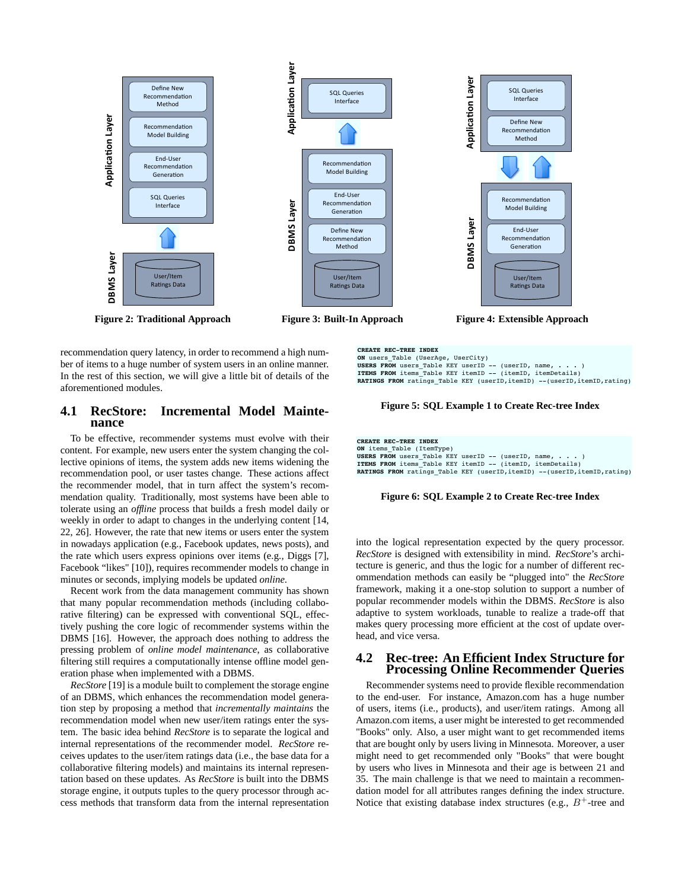

recommendation query latency, in order to recommend a high number of items to a huge number of system users in an online manner. In the rest of this section, we will give a little bit of details of the aforementioned modules.

## **4.1 RecStore: Incremental Model Maintenance**

To be effective, recommender systems must evolve with their content. For example, new users enter the system changing the collective opinions of items, the system adds new items widening the recommendation pool, or user tastes change. These actions affect the recommender model, that in turn affect the system's recommendation quality. Traditionally, most systems have been able to tolerate using an *offline* process that builds a fresh model daily or weekly in order to adapt to changes in the underlying content [14, 22, 26]. However, the rate that new items or users enter the system in nowadays application (e.g., Facebook updates, news posts), and the rate which users express opinions over items (e.g., Diggs [7], Facebook "likes" [10]), requires recommender models to change in minutes or seconds, implying models be updated *online*.

Recent work from the data management community has shown that many popular recommendation methods (including collaborative filtering) can be expressed with conventional SQL, effectively pushing the core logic of recommender systems within the DBMS [16]. However, the approach does nothing to address the pressing problem of *online model maintenance*, as collaborative filtering still requires a computationally intense offline model generation phase when implemented with a DBMS.

*RecStore* [19] is a module built to complement the storage engine of an DBMS, which enhances the recommendation model generation step by proposing a method that *incrementally maintains* the recommendation model when new user/item ratings enter the system. The basic idea behind *RecStore* is to separate the logical and internal representations of the recommender model. *RecStore* receives updates to the user/item ratings data (i.e., the base data for a collaborative filtering models) and maintains its internal representation based on these updates. As *RecStore* is built into the DBMS storage engine, it outputs tuples to the query processor through access methods that transform data from the internal representation

**CREATE REC-TREE INDEX ON** users\_Table (UserAge, UserCity) **USERS FROM** users\_Table KEY userID -- (userID, name, . . . ) **ITEMS FROM** items\_Table KEY itemID -- (itemID, itemDetails) **RATINGS FROM** ratings\_Table KEY (userID,itemID) --(userID,itemID,rating)

#### **Figure 5: SQL Example 1 to Create Rec-tree Index**

**CREATE REC-TREE INDEX ON** items\_Table (ItemType) **USERS FROM** users\_Table KEY userID -- (userID, name, . . . ) **ITEMS FROM** items\_Table KEY itemID -- (itemID, itemDetails) **RATINGS FROM** ratings\_Table KEY (userID,itemID) --(userID,itemID,rating)

#### **Figure 6: SQL Example 2 to Create Rec-tree Index**

into the logical representation expected by the query processor. *RecStore* is designed with extensibility in mind. *RecStore*'s architecture is generic, and thus the logic for a number of different recommendation methods can easily be "plugged into" the *RecStore* framework, making it a one-stop solution to support a number of popular recommender models within the DBMS. *RecStore* is also adaptive to system workloads, tunable to realize a trade-off that makes query processing more efficient at the cost of update overhead, and vice versa.

## **4.2 Rec-tree: An Efficient Index Structure for Processing Online Recommender Queries**

Recommender systems need to provide flexible recommendation to the end-user. For instance, Amazon.com has a huge number of users, items (i.e., products), and user/item ratings. Among all Amazon.com items, a user might be interested to get recommended "Books" only. Also, a user might want to get recommended items that are bought only by users living in Minnesota. Moreover, a user might need to get recommended only "Books" that were bought by users who lives in Minnesota and their age is between 21 and 35. The main challenge is that we need to maintain a recommendation model for all attributes ranges defining the index structure. Notice that existing database index structures (e.g.,  $B^+$ -tree and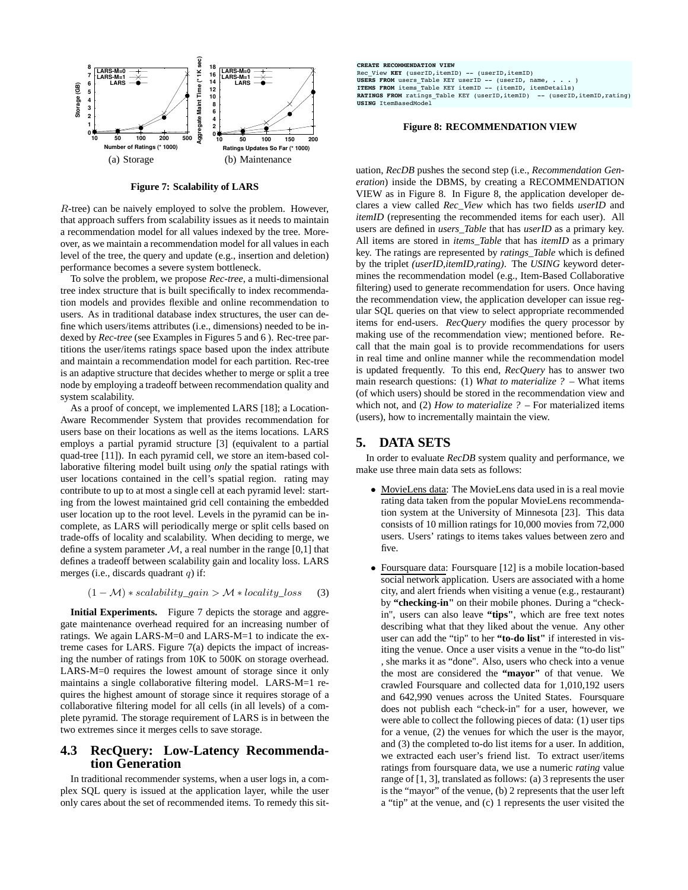

**Figure 7: Scalability of LARS**

 $R$ -tree) can be naively employed to solve the problem. However, that approach suffers from scalability issues as it needs to maintain a recommendation model for all values indexed by the tree. Moreover, as we maintain a recommendation model for all values in each level of the tree, the query and update (e.g., insertion and deletion) performance becomes a severe system bottleneck.

To solve the problem, we propose *Rec-tree*, a multi-dimensional tree index structure that is built specifically to index recommendation models and provides flexible and online recommendation to users. As in traditional database index structures, the user can define which users/items attributes (i.e., dimensions) needed to be indexed by *Rec-tree* (see Examples in Figures 5 and 6 ). Rec-tree partitions the user/items ratings space based upon the index attribute and maintain a recommendation model for each partition. Rec-tree is an adaptive structure that decides whether to merge or split a tree node by employing a tradeoff between recommendation quality and system scalability.

As a proof of concept, we implemented LARS [18]; a Location-Aware Recommender System that provides recommendation for users base on their locations as well as the items locations. LARS employs a partial pyramid structure [3] (equivalent to a partial quad-tree [11]). In each pyramid cell, we store an item-based collaborative filtering model built using *only* the spatial ratings with user locations contained in the cell's spatial region. rating may contribute to up to at most a single cell at each pyramid level: starting from the lowest maintained grid cell containing the embedded user location up to the root level. Levels in the pyramid can be incomplete, as LARS will periodically merge or split cells based on trade-offs of locality and scalability. When deciding to merge, we define a system parameter  $M$ , a real number in the range [0,1] that defines a tradeoff between scalability gain and locality loss. LARS merges (i.e., discards quadrant  $q$ ) if:

$$
(1 - M) * scalaribility\_gain > M * locality\_loss
$$
 (3)

**Initial Experiments.** Figure 7 depicts the storage and aggregate maintenance overhead required for an increasing number of ratings. We again LARS-M=0 and LARS-M=1 to indicate the extreme cases for LARS. Figure 7(a) depicts the impact of increasing the number of ratings from 10K to 500K on storage overhead. LARS-M=0 requires the lowest amount of storage since it only maintains a single collaborative filtering model. LARS-M=1 requires the highest amount of storage since it requires storage of a collaborative filtering model for all cells (in all levels) of a complete pyramid. The storage requirement of LARS is in between the two extremes since it merges cells to save storage.

## **4.3 RecQuery: Low-Latency Recommendation Generation**

In traditional recommender systems, when a user logs in, a complex SQL query is issued at the application layer, while the user only cares about the set of recommended items. To remedy this sit-

|                      | <b>CREATE RECOMMENDATION VIEW</b>                                                  |
|----------------------|------------------------------------------------------------------------------------|
|                      | Rec View KEY (userID, itemID) -- (userID, itemID)                                  |
|                      | <b>USERS FROM</b> users Table KEY userID $--$ (userID, name, $\cdot \cdot \cdot$ ) |
|                      | ITEMS FROM items Table KEY itemID -- (itemID, itemDetails)                         |
|                      | <b>RATINGS FROM</b> ratings Table KEY (userID, itemID) -- (userID, itemID, rating) |
| USING TtemBasedModel |                                                                                    |

#### **Figure 8: RECOMMENDATION VIEW**

uation, *RecDB* pushes the second step (i.e., *Recommendation Generation*) inside the DBMS, by creating a RECOMMENDATION VIEW as in Figure 8. In Figure 8, the application developer declares a view called *Rec\_View* which has two fields *userID* and *itemID* (representing the recommended items for each user). All users are defined in *users\_Table* that has *userID* as a primary key. All items are stored in *items\_Table* that has *itemID* as a primary key. The ratings are represented by *ratings\_Table* which is defined by the triplet *(userID,itemID,rating)*. The *USING* keyword determines the recommendation model (e.g., Item-Based Collaborative filtering) used to generate recommendation for users. Once having the recommendation view, the application developer can issue regular SQL queries on that view to select appropriate recommended items for end-users. *RecQuery* modifies the query processor by making use of the recommendation view; mentioned before. Recall that the main goal is to provide recommendations for users in real time and online manner while the recommendation model is updated frequently. To this end, *RecQuery* has to answer two main research questions: (1) *What to materialize ?* – What items (of which users) should be stored in the recommendation view and which not, and (2) *How to materialize ?* – For materialized items (users), how to incrementally maintain the view.

## **5. DATA SETS**

In order to evaluate *RecDB* system quality and performance, we make use three main data sets as follows:

- MovieLens data: The MovieLens data used in is a real movie rating data taken from the popular MovieLens recommendation system at the University of Minnesota [23]. This data consists of 10 million ratings for 10,000 movies from 72,000 users. Users' ratings to items takes values between zero and five.
- Foursquare data: Foursquare [12] is a mobile location-based social network application. Users are associated with a home city, and alert friends when visiting a venue (e.g., restaurant) by **"checking-in"** on their mobile phones. During a "checkin", users can also leave **"tips"**, which are free text notes describing what that they liked about the venue. Any other user can add the "tip" to her **"to-do list"** if interested in visiting the venue. Once a user visits a venue in the "to-do list" , she marks it as "done". Also, users who check into a venue the most are considered the **"mayor"** of that venue. We crawled Foursquare and collected data for 1,010,192 users and 642,990 venues across the United States. Foursquare does not publish each "check-in" for a user, however, we were able to collect the following pieces of data: (1) user tips for a venue, (2) the venues for which the user is the mayor, and (3) the completed to-do list items for a user. In addition, we extracted each user's friend list. To extract user/items ratings from foursquare data, we use a numeric *rating* value range of [1, 3], translated as follows: (a) 3 represents the user is the "mayor" of the venue, (b) 2 represents that the user left a "tip" at the venue, and (c) 1 represents the user visited the